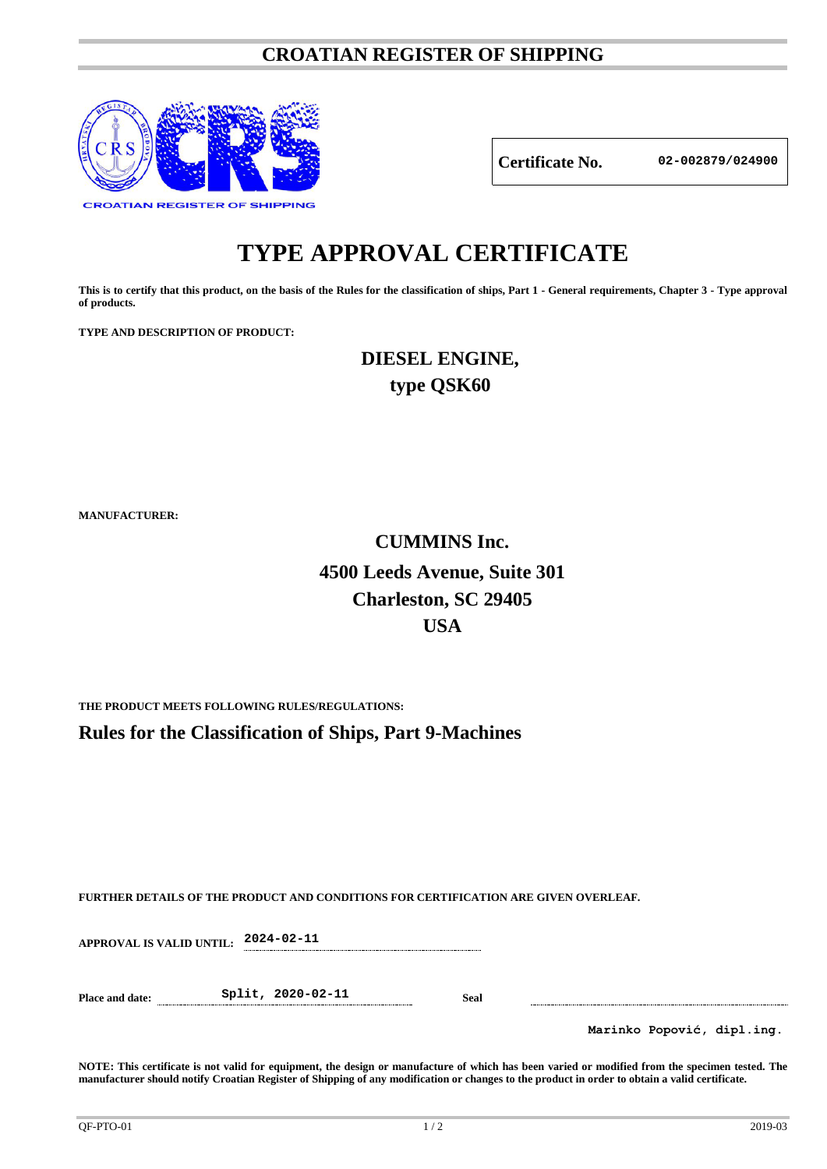### **CROATIAN REGISTER OF SHIPPING**



**Certificate No. 02-002879/024900**

# **TYPE APPROVAL CERTIFICATE**

**This is to certify that this product, on the basis of the Rules for the classification of ships, Part 1 - General requirements, Chapter 3 - Type approval of products.**

**TYPE AND DESCRIPTION OF PRODUCT:** 

**DIESEL ENGINE, type QSK60**

**MANUFACTURER:**

## **CUMMINS Inc. 4500 Leeds Avenue, Suite 301 Charleston, SC 29405 USA**

**THE PRODUCT MEETS FOLLOWING RULES/REGULATIONS:**

**Rules for the Classification of Ships, Part 9-Machines**

**FURTHER DETAILS OF THE PRODUCT AND CONDITIONS FOR CERTIFICATION ARE GIVEN OVERLEAF.**

**APPROVAL IS VALID UNTIL: 2024-02-11**

**Place and date: Split, 2020-02-11 Seal**

**Marinko Popović, dipl.ing.**

**NOTE: This certificate is not valid for equipment, the design or manufacture of which has been varied or modified from the specimen tested. The manufacturer should notify Croatian Register of Shipping of any modification or changes to the product in order to obtain a valid certificate.**